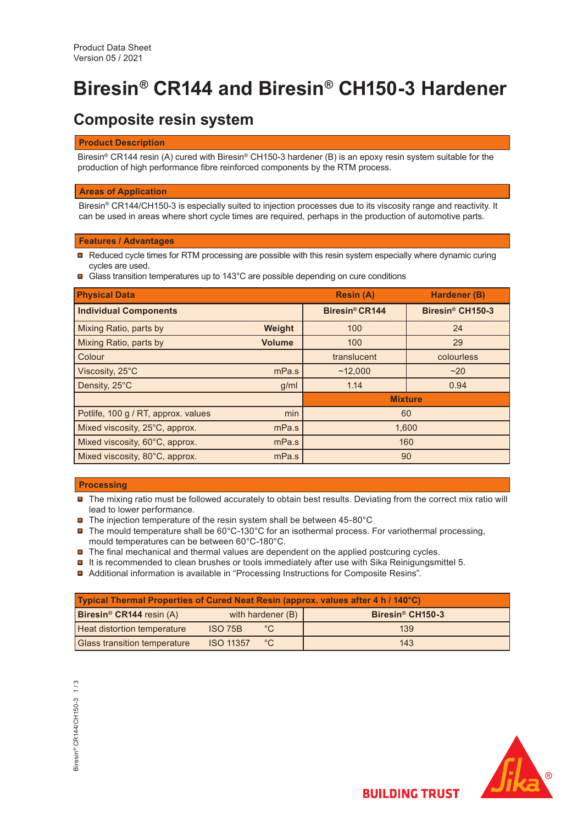# **Biresin® CR144 and Biresin® CH150-3 Hardener**

# **Composite resin system**

### **Product Description**

Biresin<sup>®</sup> CR144 resin (A) cured with Biresin<sup>®</sup> CH150-3 hardener (B) is an epoxy resin system suitable for the production of high performance fibre reinforced components by the RTM process.

# **Areas of Application**

Biresin® CR144/CH150-3 is especially suited to injection processes due to its viscosity range and reactivity. It can be used in areas where short cycle times are required, perhaps in the production of automotive parts.

# **Features / Advantages**

- $\blacksquare$  Reduced cycle times for RTM processing are possible with this resin system especially where dynamic curing cycles are used.
- Glass transition temperatures up to 143°C are possible depending on cure conditions

| <b>Physical Data</b>                |               | <b>Resin (A)</b>           | Hardener (B)                 |  |
|-------------------------------------|---------------|----------------------------|------------------------------|--|
| <b>Individual Components</b>        |               | Biresin <sup>®</sup> CR144 | Biresin <sup>®</sup> CH150-3 |  |
| Mixing Ratio, parts by              | Weight        | 100                        | 24                           |  |
| Mixing Ratio, parts by              | <b>Volume</b> | 100                        | 29                           |  |
| Colour                              |               | translucent                | colourless                   |  |
| Viscosity, 25°C                     | mPa.s         | ~12.000                    | ~20                          |  |
| Density, 25°C                       | g/ml          | 1.14                       | 0.94                         |  |
|                                     |               | <b>Mixture</b>             |                              |  |
| Potlife, 100 g / RT, approx. values | min           | 60                         |                              |  |
| Mixed viscosity, 25°C, approx.      | mPa.s         | 1,600                      |                              |  |
| Mixed viscosity, 60°C, approx.      | mPa.s         | 160                        |                              |  |
| Mixed viscosity, 80°C, approx.      | mPa.s         | 90                         |                              |  |

# **Processing**

- The mixing ratio must be followed accurately to obtain best results. Deviating from the correct mix ratio will lead to lower performance.
- $\blacksquare$  The injection temperature of the resin system shall be between 45-80°C
- $\blacksquare$  The mould temperature shall be 60°C-130°C for an isothermal process. For variothermal processing, mould temperatures can be between 60°C-180°C.
- $\blacksquare$  The final mechanical and thermal values are dependent on the applied postcuring cycles.
- $\blacksquare$  It is recommended to clean brushes or tools immediately after use with Sika Reinigungsmittel 5.
- Additional information is available in "Processing Instructions for Composite Resins".

| Typical Thermal Properties of Cured Neat Resin (approx. values after 4 h / 140°C) |                   |              |                              |  |  |  |
|-----------------------------------------------------------------------------------|-------------------|--------------|------------------------------|--|--|--|
| <b>Biresin<sup>®</sup> CR144</b> resin $(A)$                                      | with hardener (B) |              | Biresin <sup>®</sup> CH150-3 |  |  |  |
| <b>Heat distortion temperature</b>                                                | <b>ISO 75B</b>    | $^{\circ}$ C | 139                          |  |  |  |
| <b>Glass transition temperature</b>                                               | <b>ISO 11357</b>  | °C           | 143                          |  |  |  |

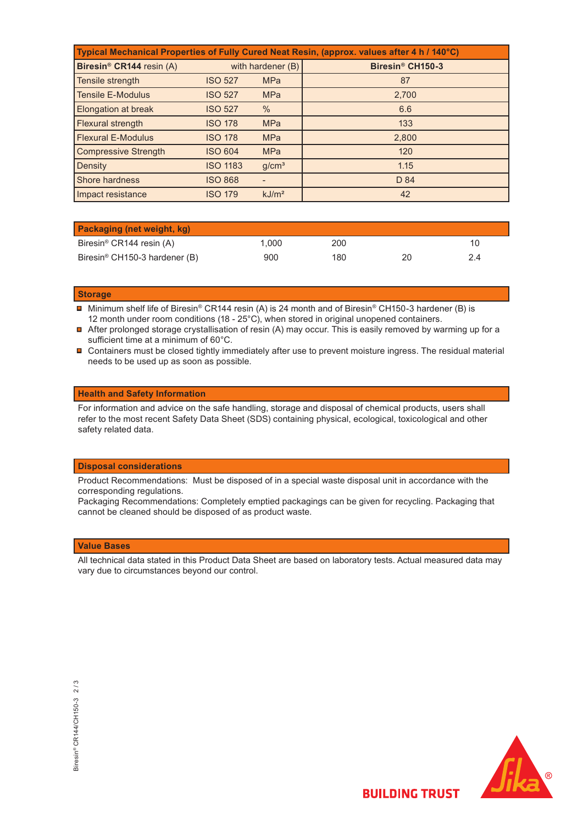| Typical Mechanical Properties of Fully Cured Neat Resin, (approx. values after 4 h / 140°C) |                   |                   |                              |  |  |  |
|---------------------------------------------------------------------------------------------|-------------------|-------------------|------------------------------|--|--|--|
| Biresin <sup>®</sup> CR144 resin (A)                                                        | with hardener (B) |                   | Biresin <sup>®</sup> CH150-3 |  |  |  |
| Tensile strength                                                                            | <b>ISO 527</b>    | <b>MPa</b>        | 87                           |  |  |  |
| <b>Tensile E-Modulus</b>                                                                    | <b>ISO 527</b>    | <b>MPa</b>        | 2,700                        |  |  |  |
| <b>Elongation at break</b>                                                                  | <b>ISO 527</b>    | $\%$              | 6.6                          |  |  |  |
| Flexural strength                                                                           | <b>ISO 178</b>    | <b>MPa</b>        | 133                          |  |  |  |
| <b>Flexural E-Modulus</b>                                                                   | <b>ISO 178</b>    | <b>MPa</b>        | 2,800                        |  |  |  |
| <b>Compressive Strength</b>                                                                 | <b>ISO 604</b>    | <b>MPa</b>        | 120                          |  |  |  |
| Density                                                                                     | <b>ISO 1183</b>   | g/cm <sup>3</sup> | 1.15                         |  |  |  |
| <b>Shore hardness</b>                                                                       | <b>ISO 868</b>    |                   | D 84                         |  |  |  |
| Impact resistance                                                                           | <b>ISO 179</b>    | kJ/m <sup>2</sup> | 42                           |  |  |  |

| <b>Packaging (net weight, kg)</b>         |      |     |    |    |
|-------------------------------------------|------|-----|----|----|
| Biresin <sup>®</sup> CR144 resin (A)      | .000 | 200 |    |    |
| Biresin <sup>®</sup> CH150-3 hardener (B) | 900  | 180 | 20 | 24 |

#### **Storage**

- Minimum shelf life of Biresin® CR144 resin (A) is 24 month and of Biresin® CH150-3 hardener (B) is 12 month under room conditions (18 - 25°C), when stored in original unopened containers.
- After prolonged storage crystallisation of resin (A) may occur. This is easily removed by warming up for a sufficient time at a minimum of 60°C.
- Containers must be closed tightly immediately after use to prevent moisture ingress. The residual material needs to be used up as soon as possible.

#### **Health and Safety Information**

For information and advice on the safe handling, storage and disposal of chemical products, users shall refer to the most recent Safety Data Sheet (SDS) containing physical, ecological, toxicological and other safety related data.

#### **Disposal considerations**

Product Recommendations: Must be disposed of in a special waste disposal unit in accordance with the corresponding regulations.

Packaging Recommendations: Completely emptied packagings can be given for recycling. Packaging that cannot be cleaned should be disposed of as product waste.

#### **Value Bases**

All technical data stated in this Product Data Sheet are based on laboratory tests. Actual measured data may vary due to circumstances beyond our control.